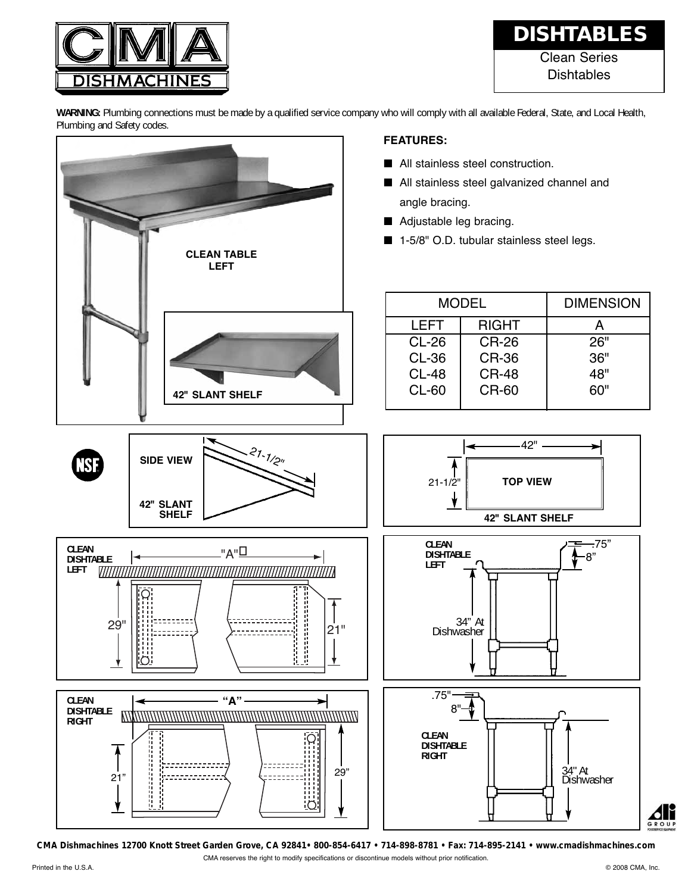

## Clean Series **Dishtables DISHTABLES**

**WARNING:** Plumbing connections must be made by a qualified service company who will comply with all available Federal, State, and Local Health, Plumbing and Safety codes.



**CMA Dishmachines 12700 Knott Street Garden Grove, CA 92841• 800-854-6417 • 714-898-8781 • Fax: 714-895-2141 • www.cmadishmachines.com**